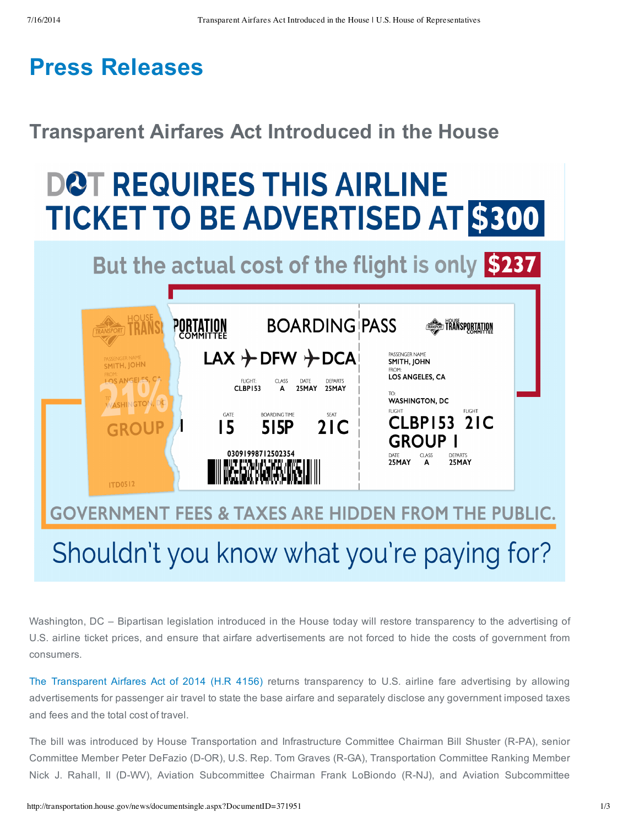## **Press Releases**

### **Transparent Airfares Act Introduced in the House**

# **DOT REQUIRES THIS AIRLINE TICKET TO BE ADVERTISED AT \$300**

## But the actual cost of the flight is only \$237



## Shouldn't you know what you're paying for?

Washington, DC – Bipartisan legislation introduced in the House today will restore transparency to the advertising of U.S. airline ticket prices, and ensure that airfare advertisements are not forced to hide the costs of government from consumers.

The Transparent Airfares Act of 2014 (H.R 4156) returns transparency to U.S. airline fare advertising by allowing advertisements for passenger air travel to state the base airfare and separately disclose any government imposed taxes and fees and the total cost of travel.

The bill was introduced by House Transportation and Infrastructure Committee Chairman Bill Shuster (R-PA), senior Committee Member Peter DeFazio (D-OR), U.S. Rep. Tom Graves (R-GA), Transportation Committee Ranking Member Nick J. Rahall, II (D-WV), Aviation Subcommittee Chairman Frank LoBiondo (R-NJ), and Aviation Subcommittee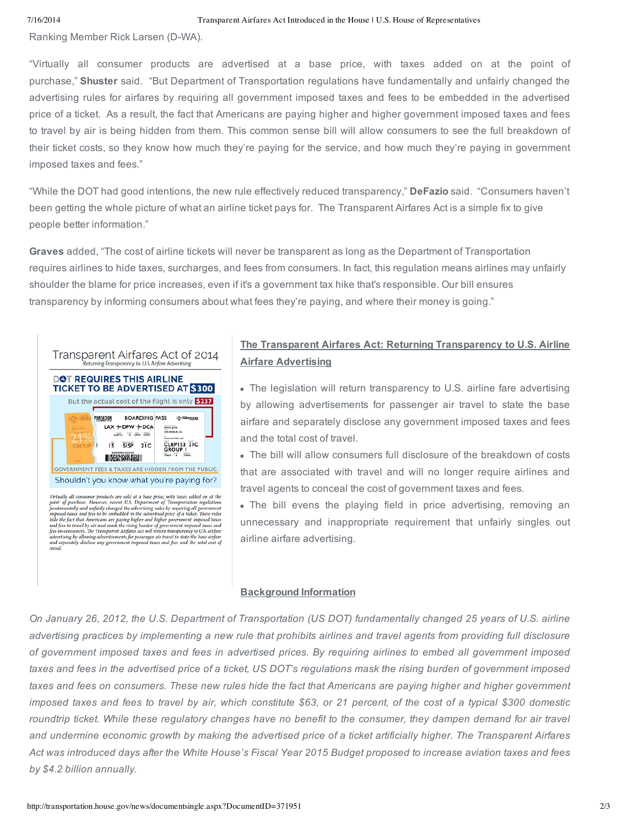#### 7/16/2014 Transparent Airfares Act Introduced in the House | U.S. House of Representatives

Ranking Member Rick Larsen (D-WA).

"Virtually all consumer products are advertised at a base price, with taxes added on at the point of purchase," **Shuster** said. "But Department of Transportation regulations have fundamentally and unfairly changed the advertising rules for airfares by requiring all government imposed taxes and fees to be embedded in the advertised price of a ticket. As a result, the fact that Americans are paying higher and higher government imposed taxes and fees to travel by air is being hidden from them. This common sense bill will allow consumers to see the full breakdown of their ticket costs, so they know how much they're paying for the service, and how much they're paying in government imposed taxes and fees."

"While the DOT had good intentions, the new rule effectively reduced transparency," **DeFazio** said. "Consumers haven't been getting the whole picture of what an airline ticket pays for. The Transparent Airfares Act is a simple fix to give people better information."

**Graves** added, "The cost of airline tickets will never be transparent as long as the Department of Transportation requires airlines to hide taxes, surcharges, and fees from consumers. In fact, this regulation means airlines may unfairly shoulder the blame for price increases, even if it's a government tax hike that's responsible. Our bill ensures transparency by informing consumers about what fees they're paying, and where their money is going."



### **The Transparent Airfares Act: Returning Transparency to U.S. Airline Airfare Advertising**

The legislation will return transparency to U.S. airline fare advertising by allowing advertisements for passenger air travel to state the base airfare and separately disclose any government imposed taxes and fees and the total cost of travel.

The bill will allow consumers full disclosure of the breakdown of costs that are associated with travel and will no longer require airlines and travel agents to conceal the cost of government taxes and fees.

The bill evens the playing field in price advertising, removing an unnecessary and inappropriate requirement that unfairly singles out airline airfare advertising.

### **Background Information**

On January 26, 2012, the U.S. Department of Transportation (US DOT) fundamentally changed 25 years of U.S. airline advertising practices by implementing a new rule that prohibits airlines and travel agents from providing full disclosure of government imposed taxes and fees in advertised prices. By requiring airlines to embed all government imposed taxes and fees in the advertised price of a ticket, US DOT's regulations mask the rising burden of government imposed taxes and fees on consumers. These new rules hide the fact that Americans are paying higher and higher government imposed taxes and fees to travel by air, which constitute \$63, or 21 percent, of the cost of a typical \$300 domestic roundtrip ticket. While these regulatory changes have no benefit to the consumer, they dampen demand for air travel and undermine economic growth by making the advertised price of a ticket artificially higher. The Transparent Airfares Act was introduced days after the White House's Fiscal Year 2015 Budget proposed to increase aviation taxes and fees *by \$4.2 billion annually.*